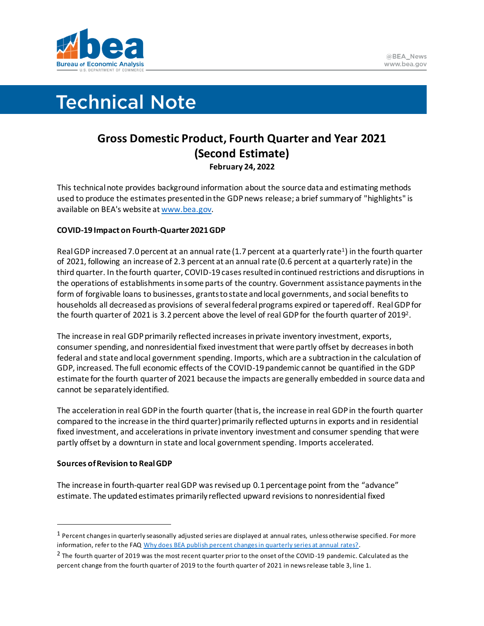

# **Technical Note**

# **Gross Domestic Product, Fourth Quarter and Year 2021 (Second Estimate) February 24, 2022**

This technical note provides background information about the source data and estimating methods used to produce the estimates presented in the GDP news release; a brief summary of "highlights" is available on BEA's website a[t www.bea.gov.](https://www.bea.gov)

## **COVID-19 Impact on Fourth-Quarter 2021 GDP**

Real GDP increased 7.0 percent at an annual rate (1.7 percent at a quarterly rate<sup>1</sup>) in the fourth quarter of 2021, following an increase of 2.3 percent at an annual rate (0.6 percent at a quarterly rate) in the third quarter. In the fourth quarter, COVID-19 cases resulted in continued restrictions and disruptions in the operations of establishments in some parts of the country. Government assistance payments in the form of forgivable loans to businesses, grants to state and local governments, and social benefits to households all decreased as provisions of several federal programs expired or tapered off. Real GDP for the fourth quarter of 2021 is 3.2 percent above the level of real GDP for the fourth quarter of 2019<sup>2</sup>.

The increase in real GDP primarily reflected increases in private inventory investment, exports, consumer spending, and nonresidential fixed investment that were partly offset by decreases in both federal and state and local government spending. Imports, which are a subtraction in the calculation of GDP, increased. The full economic effects of the COVID-19 pandemic cannot be quantified in the GDP estimate for the fourth quarter of 2021 because the impacts are generally embedded in source data and cannot be separately identified.

The acceleration in real GDP in the fourth quarter (that is, the increase in real GDP in the fourth quarter compared to the increase in the third quarter) primarily reflected upturnsin exports and in residential fixed investment, and accelerations in private inventory investment and consumer spending that were partly offset by a downturn in state and local government spending. Imports accelerated.

### **Sources of Revision to Real GDP**

The increase in fourth-quarter real GDP was revised up 0.1 percentage point from the "advance" estimate. The updated estimates primarily reflected upward revisions to nonresidential fixed

<sup>1</sup> Percent changes in quarterly seasonally adjusted series are displayed at annual rates, unless otherwise specified. For more information, refer to the FAQ [Why does BEA publish percent changes in quarterly series at annual rates?.](https://www.bea.gov/help/faq/122)

<sup>&</sup>lt;sup>2</sup> The fourth quarter of 2019 was the most recent quarter prior to the onset of the COVID-19 pandemic. Calculated as the percent change from the fourth quarter of 2019 to the fourth quarter of 2021 in news release table 3, line 1.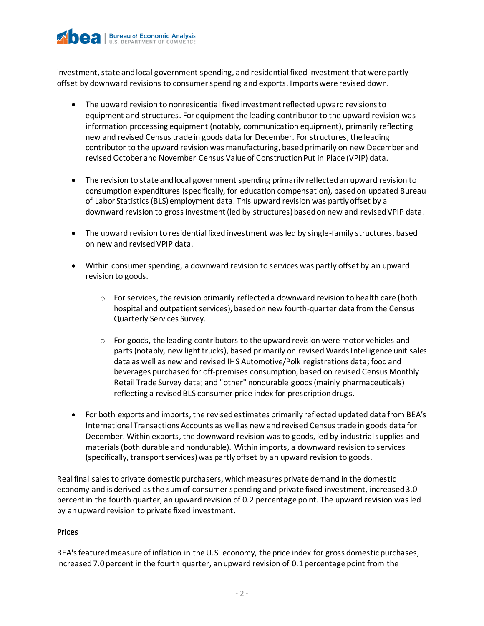

investment, state and local government spending, and residential fixed investment that were partly offset by downward revisions to consumer spending and exports. Imports were revised down.

- The upward revision to nonresidential fixed investment reflected upward revisions to equipment and structures. For equipment the leading contributor to the upward revision was information processing equipment (notably, communication equipment), primarily reflecting new and revised Census trade in goods data for December. For structures, the leading contributor to the upward revision was manufacturing, based primarily on new December and revised October and November Census Value of Construction Put in Place (VPIP) data.
- The revision to state and local government spending primarily reflected an upward revision to consumption expenditures (specifically, for education compensation), based on updated Bureau of Labor Statistics (BLS) employment data. This upward revision was partly offset by a downward revision to gross investment (led by structures) based on new and revised VPIP data.
- The upward revision to residential fixed investment was led by single-family structures, based on new and revised VPIP data.
- Within consumer spending, a downward revision to services was partly offset by an upward revision to goods.
	- $\circ$  For services, the revision primarily reflected a downward revision to health care (both hospital and outpatient services), based on new fourth-quarter data from the Census Quarterly Services Survey.
	- $\circ$  For goods, the leading contributors to the upward revision were motor vehicles and parts (notably, new light trucks), based primarily on revised Wards Intelligence unit sales data as well as new and revised IHS Automotive/Polk registrations data; food and beverages purchased for off-premises consumption, based on revised Census Monthly Retail Trade Survey data; and "other" nondurable goods (mainly pharmaceuticals) reflecting a revised BLS consumer price index for prescription drugs.
- For both exports and imports, the revised estimates primarily reflected updated data from BEA's International Transactions Accounts as well as new and revised Census trade in goods data for December. Within exports, the downward revision was to goods, led by industrial supplies and materials (both durable and nondurable). Within imports, a downward revision to services (specifically, transport services) was partly offset by an upward revision to goods.

Real final sales to private domestic purchasers, which measures private demand in the domestic economy and is derived as the sum of consumer spending and private fixed investment, increased 3.0 percent in the fourth quarter, an upward revision of 0.2 percentage point. The upward revision was led by an upward revision to private fixed investment.

#### **Prices**

BEA's featured measure of inflation in the U.S. economy, the price index for gross domestic purchases, increased 7.0 percent in the fourth quarter, an upward revision of 0.1 percentage point from the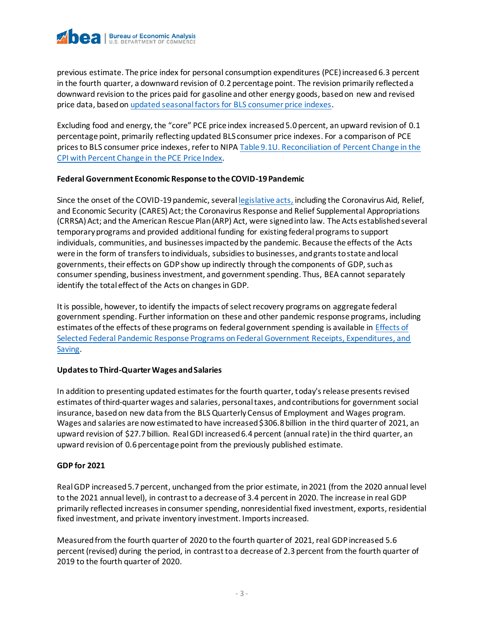

previous estimate. The price index for personal consumption expenditures (PCE) increased 6.3 percent in the fourth quarter, a downward revision of 0.2 percentage point. The revision primarily reflected a downward revision to the prices paid for gasoline and other energy goods, based on new and revised price data, based on updated seasonal factors [for BLS consumer price indexes.](https://www.bls.gov/cpi/notices/2022/seasonal-adjustment.htm)

Excluding food and energy, the "core" PCE price index increased 5.0 percent, an upward revision of 0.1 percentage point, primarily reflecting updated BLS consumer price indexes. For a comparison of PCE pricesto BLS consumer price indexes, refer to NIP[A Table 9.1U. Reconciliation of Percent Change in the](https://apps.bea.gov/iTable/iTable.cfm?reqid=19&step=3&isuri=1&nipa_table_list=2075&categories=underlying)  [CPI with Percent Change in the PCE Price Index.](https://apps.bea.gov/iTable/iTable.cfm?reqid=19&step=3&isuri=1&nipa_table_list=2075&categories=underlying)

#### **Federal Government Economic Response to the COVID-19 Pandemic**

Since the onset of the COVID-19 pandemic, severa[l legislative acts,](https://www.bea.gov/system/files/2021-04/COVID-19%20Pandemic-Federal%20Recovery%20Legislation%20and%20the%20NIPAs%200421.pdf) including the Coronavirus Aid, Relief, and Economic Security (CARES) Act; the Coronavirus Response and Relief Supplemental Appropriations (CRRSA) Act; and the American Rescue Plan (ARP) Act, were signed into law. The Acts established several temporary programs and provided additional funding for existing federal programs to support individuals, communities, and businesses impacted by the pandemic. Because the effects of the Acts were in the form of transfers to individuals, subsidies to businesses, and grants to state and local governments, their effects on GDP show up indirectly through the components of GDP, such as consumer spending, business investment, and government spending. Thus, BEA cannot separately identify the total effect of the Acts on changes in GDP.

It is possible, however, to identify the impacts of select recovery programs on aggregate federal government spending. Further information on these and other pandemic response programs, including estimates of the effects of these programs on federal government spending is available i[n Effects of](https://www.bea.gov/sites/default/files/2022-02/effects-of-selected-federal-pandemic-response-programs-on-federal-government-receipts-expenditures-and-saving-2021q4-2nd.pdf)  [Selected Federal Pandemic Response Programs on Federal Government Receipts, Expenditures, and](https://www.bea.gov/sites/default/files/2022-02/effects-of-selected-federal-pandemic-response-programs-on-federal-government-receipts-expenditures-and-saving-2021q4-2nd.pdf)  [Saving.](https://www.bea.gov/sites/default/files/2022-02/effects-of-selected-federal-pandemic-response-programs-on-federal-government-receipts-expenditures-and-saving-2021q4-2nd.pdf)

#### **Updates to Third-Quarter Wages and Salaries**

In addition to presenting updated estimates for the fourth quarter, today's release presents revised estimates of third-quarter wages and salaries, personal taxes, and contributions for government social insurance, based on new data from the BLS Quarterly Census of Employment and Wages program. Wages and salaries are now estimated to have increased \$306.8 billion in the third quarter of 2021, an upward revision of \$27.7 billion. Real GDI increased 6.4 percent (annual rate) in the third quarter, an upward revision of 0.6 percentage point from the previously published estimate.

#### **GDP for 2021**

Real GDP increased 5.7 percent, unchanged from the prior estimate, in 2021 (from the 2020 annual level to the 2021 annual level), in contrast to a decrease of 3.4 percent in 2020. The increase in real GDP primarily reflected increases in consumer spending, nonresidential fixed investment, exports, residential fixed investment, and private inventory investment. Imports increased.

Measured from the fourth quarter of 2020 to the fourth quarter of 2021, real GDP increased 5.6 percent (revised) during the period, in contrast to a decrease of 2.3 percent from the fourth quarter of 2019 to the fourth quarter of 2020.